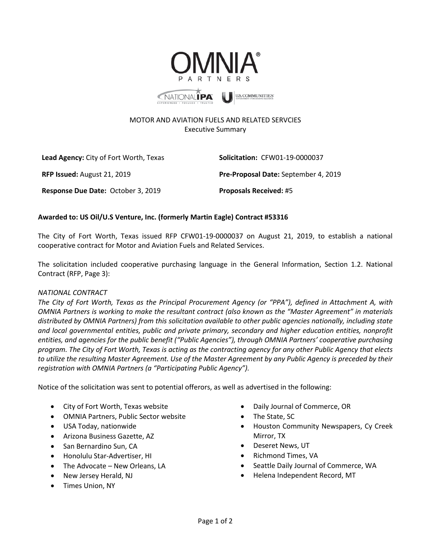

## MOTOR AND AVIATION FUELS AND RELATED SERVCIES Executive Summary

**Lead Agency:** City of Fort Worth, Texas **Solicitation:** CFW01-19-0000037 **RFP Issued:** August 21, 2019 **Pre-Proposal Date:** September 4, 2019 **Response Due Date:** October 3, 2019 **Proposals Received:** #5

## **Awarded to: US Oil/U.S Venture, Inc. (formerly Martin Eagle) Contract #53316**

The City of Fort Worth, Texas issued RFP CFW01-19-0000037 on August 21, 2019, to establish a national cooperative contract for Motor and Aviation Fuels and Related Services.

The solicitation included cooperative purchasing language in the General Information, Section 1.2. National Contract (RFP, Page 3):

## *NATIONAL CONTRACT*

*The City of Fort Worth, Texas as the Principal Procurement Agency (or "PPA"), defined in Attachment A, with OMNIA Partners is working to make the resultant contract (also known as the "Master Agreement" in materials distributed by OMNIA Partners) from this solicitation available to other public agencies nationally, including state and local governmental entities, public and private primary, secondary and higher education entities, nonprofit entities, and agencies for the public benefit ("Public Agencies"), through OMNIA Partners' cooperative purchasing program. The City of Fort Worth, Texas is acting as the contracting agency for any other Public Agency that elects to utilize the resulting Master Agreement. Use of the Master Agreement by any Public Agency is preceded by their registration with OMNIA Partners (a "Participating Public Agency").* 

Notice of the solicitation was sent to potential offerors, as well as advertised in the following:

- City of Fort Worth, Texas website
- OMNIA Partners, Public Sector website
- USA Today, nationwide
- Arizona Business Gazette, AZ
- San Bernardino Sun, CA
- Honolulu Star-Advertiser, HI
- The Advocate New Orleans, LA
- New Jersey Herald, NJ
- Times Union, NY
- Daily Journal of Commerce, OR
- The State, SC
- Houston Community Newspapers, Cy Creek Mirror, TX
- Deseret News, UT
- Richmond Times, VA
- Seattle Daily Journal of Commerce, WA
- Helena Independent Record, MT